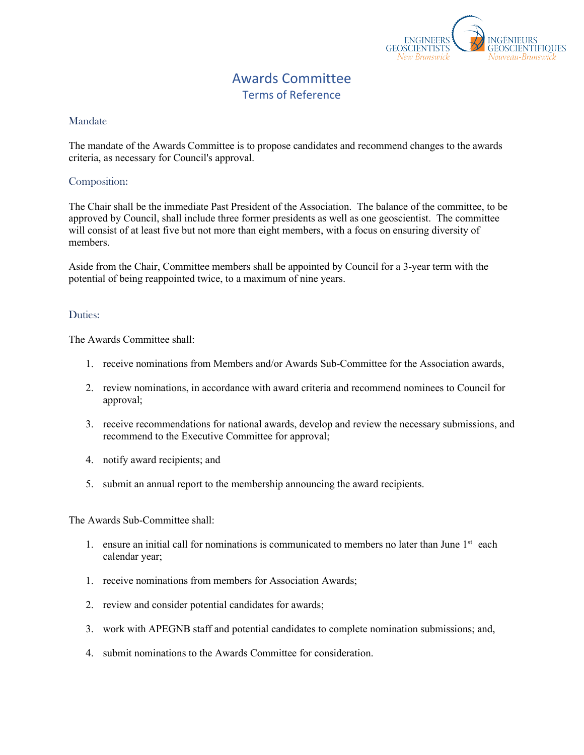

## Awards Committee Terms of Reference

## Mandate

The mandate of the Awards Committee is to propose candidates and recommend changes to the awards criteria, as necessary for Council's approval.

## Composition:

The Chair shall be the immediate Past President of the Association. The balance of the committee, to be approved by Council, shall include three former presidents as well as one geoscientist. The committee will consist of at least five but not more than eight members, with a focus on ensuring diversity of members.

Aside from the Chair, Committee members shall be appointed by Council for a 3-year term with the potential of being reappointed twice, to a maximum of nine years.

## Duties:

The Awards Committee shall:

- 1. receive nominations from Members and/or Awards Sub-Committee for the Association awards,
- 2. review nominations, in accordance with award criteria and recommend nominees to Council for approval;
- 3. receive recommendations for national awards, develop and review the necessary submissions, and recommend to the Executive Committee for approval;
- 4. notify award recipients; and
- 5. submit an annual report to the membership announcing the award recipients.

The Awards Sub-Committee shall:

- 1. ensure an initial call for nominations is communicated to members no later than June  $1<sup>st</sup>$  each calendar year;
- 1. receive nominations from members for Association Awards;
- 2. review and consider potential candidates for awards;
- 3. work with APEGNB staff and potential candidates to complete nomination submissions; and,
- 4. submit nominations to the Awards Committee for consideration.